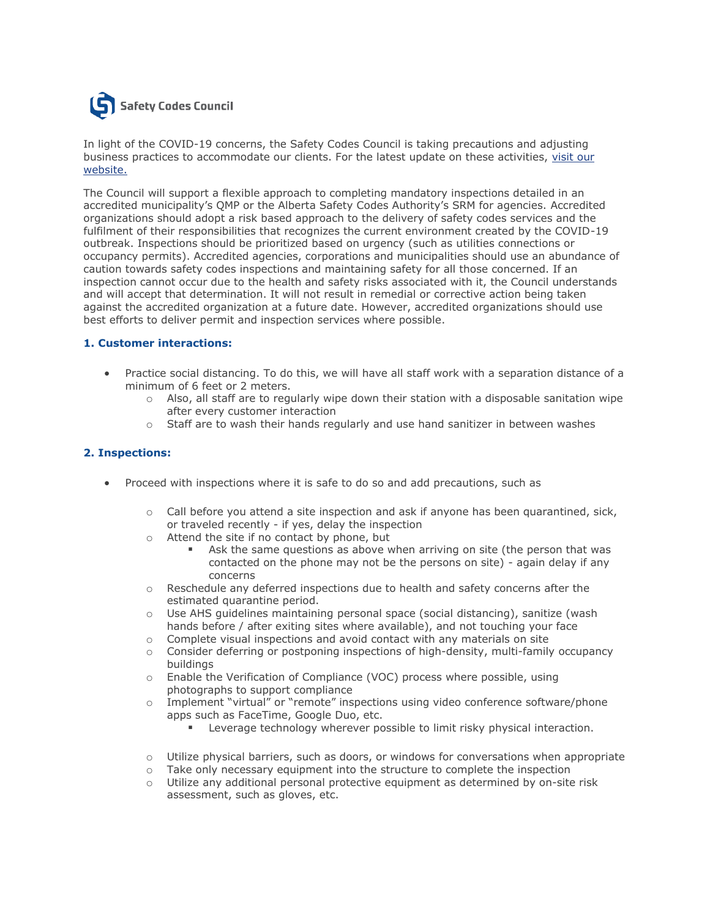

In light of the COVID-19 concerns, the Safety Codes Council is taking precautions and adjusting business practices to accommodate our clients. For the latest update on these activities, [visit our](http://trk.cp20.com/click/ce1x-1um4c1-mavxrv-b1ul71i6/)  [website.](http://trk.cp20.com/click/ce1x-1um4c1-mavxrv-b1ul71i6/)

The Council will support a flexible approach to completing mandatory inspections detailed in an accredited municipality's QMP or the Alberta Safety Codes Authority's SRM for agencies. Accredited organizations should adopt a risk based approach to the delivery of safety codes services and the fulfilment of their responsibilities that recognizes the current environment created by the COVID-19 outbreak. Inspections should be prioritized based on urgency (such as utilities connections or occupancy permits). Accredited agencies, corporations and municipalities should use an abundance of caution towards safety codes inspections and maintaining safety for all those concerned. If an inspection cannot occur due to the health and safety risks associated with it, the Council understands and will accept that determination. It will not result in remedial or corrective action being taken against the accredited organization at a future date. However, accredited organizations should use best efforts to deliver permit and inspection services where possible.

## **1. Customer interactions:**

- Practice social distancing. To do this, we will have all staff work with a separation distance of a minimum of 6 feet or 2 meters.
	- $\circ$  Also, all staff are to regularly wipe down their station with a disposable sanitation wipe after every customer interaction
	- o Staff are to wash their hands regularly and use hand sanitizer in between washes

## **2. Inspections:**

- Proceed with inspections where it is safe to do so and add precautions, such as
	- $\circ$  Call before you attend a site inspection and ask if anyone has been quarantined, sick, or traveled recently - if yes, delay the inspection
	- o Attend the site if no contact by phone, but
		- Ask the same questions as above when arriving on site (the person that was contacted on the phone may not be the persons on site) - again delay if any concerns
	- $\circ$  Reschedule any deferred inspections due to health and safety concerns after the estimated quarantine period.
	- o Use AHS guidelines maintaining personal space (social distancing), sanitize (wash hands before / after exiting sites where available), and not touching your face
	- $\circ$  Complete visual inspections and avoid contact with any materials on site
	- o Consider deferring or postponing inspections of high-density, multi-family occupancy buildings
	- o Enable the Verification of Compliance (VOC) process where possible, using photographs to support compliance
	- o Implement "virtual" or "remote" inspections using video conference software/phone apps such as FaceTime, Google Duo, etc.
		- **EXECTEDE EXECUTEDE IS A LETTEDE FOR LETTEDE FILM** Leverage technology wherever possible to limit risky physical interaction.
	- $\circ$  Utilize physical barriers, such as doors, or windows for conversations when appropriate
	- o Take only necessary equipment into the structure to complete the inspection
	- $\circ$  Utilize any additional personal protective equipment as determined by on-site risk assessment, such as gloves, etc.